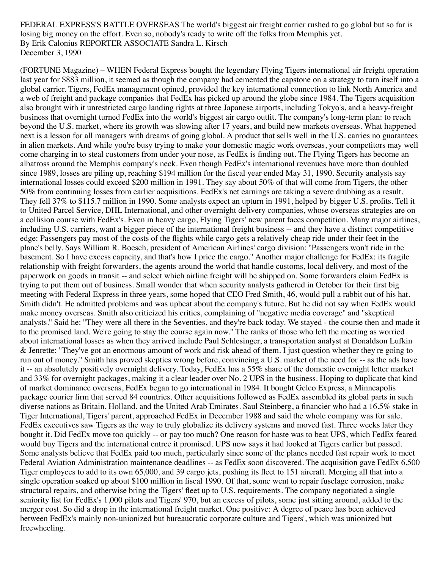FEDERAL EXPRESS'S BATTLE OVERSEAS The world's biggest air freight carrier rushed to go global but so far is losing big money on the effort. Even so, nobody's ready to write off the folks from Memphi[s yet.](https://archive.fortune.com/magazines/fortune) By Erik Calonius REPORTER ASSOCIATE Sandra L. Kirsch December 3, 1990

(FORTUNE Magazine) – WHEN Federal Express bought the legendary Flying Tigers international air freight operation last year for \$883 million, it seemed as though the company had cemented the capstone on a strategy to turn itself into a global carrier. Tigers, FedEx management opined, provided the key international connection to link North America and a web of freight and package companies that FedEx has picked up around the globe since 1984. The Tigers acquisition also brought with it unrestricted cargo landing rights at three Japanese airports, including Tokyo's, and a heavy-freight business that overnight turned FedEx into the world's biggest air cargo outfit. The company's long-term plan: to reach beyond the U.S. market, where its growth was slowing after 17 years, and build new markets overseas. What happened next is a lesson for all managers with dreams of going global. A product that sells well in the U.S. carries no guarantees in alien markets. And while you're busy trying to make your domestic magic work overseas, your competitors may well come charging in to steal customers from under your nose, as FedEx is finding out. The Flying Tigers has become an albatross around the Memphis company's neck. Even though FedEx's international revenues have more than doubled since 1989, losses are piling up, reaching \$194 million for the fiscal year ended May 31, 1990. Security analysts say international losses could exceed \$200 million in 1991. They say about 50% of that will come from Tigers, the other 50% from continuing losses from earlier acquisitions. FedEx's net earnings are taking a severe drubbing as a result. They fell 37% to \$115.7 million in 1990. Some analysts expect an upturn in 1991, helped by bigger U.S. profits. Tell it to United Parcel Service, DHL International, and other overnight delivery companies, whose overseas strategies are on a collision course with FedEx's. Even in heavy cargo, Flying Tigers' new parent faces competition. Many major airlines, including U.S. carriers, want a bigger piece of the international freight business -- and they have a distinct competitive edge: Passengers pay most of the costs of the flights while cargo gets a relatively cheap ride under their feet in the plane's belly. Says William R. Boesch, president of American Airlines' cargo division: ''Passengers won't ride in the basement. So I have excess capacity, and that's how I price the cargo.'' Another major challenge for FedEx: its fragile relationship with freight forwarders, the agents around the world that handle customs, local delivery, and most of the paperwork on goods in transit -- and select which airline freight will be shipped on. Some forwarders claim FedEx is trying to put them out of business. Small wonder that when security analysts gathered in October for their first big meeting with Federal Express in three years, some hoped that CEO Fred Smith, 46, would pull a rabbit out of his hat. Smith didn't. He admitted problems and was upbeat about the company's future. But he did not say when FedEx would make money overseas. Smith also criticized his critics, complaining of ''negative media coverage'' and ''skeptical analysts.'' Said he: ''They were all there in the Seventies, and they're back today. We stayed - the course then and made it to the promised land. We're going to stay the course again now.'' The ranks of those who left the meeting as worried about international losses as when they arrived include Paul Schlesinger, a transportation analyst at Donaldson Lufkin & Jenrette: ''They've got an enormous amount of work and risk ahead of them. I just question whether they're going to run out of money.'' Smith has proved skeptics wrong before, convincing a U.S. market of the need for -- as the ads have it -- an absolutely positively overnight delivery. Today, FedEx has a 55% share of the domestic overnight letter market and 33% for overnight packages, making it a clear leader over No. 2 UPS in the business. Hoping to duplicate that kind of market dominance overseas, FedEx began to go international in 1984. It bought Gelco Express, a Minneapolis package courier firm that served 84 countries. Other acquisitions followed as FedEx assembled its global parts in such diverse nations as Britain, Holland, and the United Arab Emirates. Saul Steinberg, a financier who had a 16.5% stake in Tiger International, Tigers' parent, approached FedEx in December 1988 and said the whole company was for sale. FedEx executives saw Tigers as the way to truly globalize its delivery systems and moved fast. Three weeks later they bought it. Did FedEx move too quickly -- or pay too much? One reason for haste was to beat UPS, which FedEx feared would buy Tigers and the international entree it promised. UPS now says it had looked at Tigers earlier but passed. Some analysts believe that FedEx paid too much, particularly since some of the planes needed fast repair work to meet Federal Aviation Administration maintenance deadlines -- as FedEx soon discovered. The acquisition gave FedEx 6,500 Tiger employees to add to its own 65,000, and 39 cargo jets, pushing its fleet to 151 aircraft. Merging all that into a single operation soaked up about \$100 million in fiscal 1990. Of that, some went to repair fuselage corrosion, make structural repairs, and otherwise bring the Tigers' fleet up to U.S. requirements. The company negotiated a single seniority list for FedEx's 1,000 pilots and Tigers' 970, but an excess of pilots, some just sitting around, added to the merger cost. So did a drop in the international freight market. One positive: A degree of peace has been achieved between FedEx's mainly non-unionized but bureaucratic corporate culture and Tigers', which was unionized but freewheeling.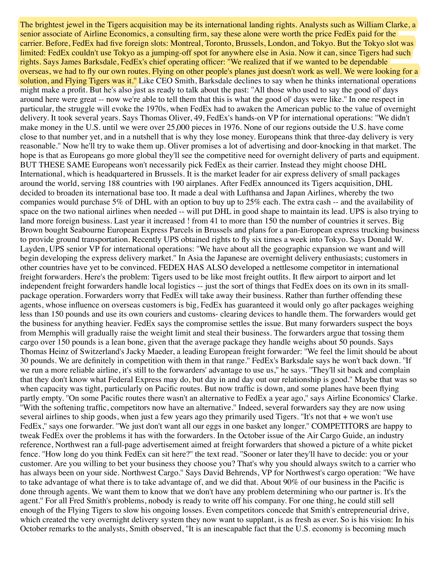The brightest jewel in the Tigers acquisition may be its international landing rights. Analysts such as William Clarke, a senior associate of Airline Economics, a consulting firm, say these alone were worth the price FedEx paid for the carrier. Before, FedEx had five foreign slots: Montreal, Toronto, Brussels, London, and Tokyo. But the Tokyo slot was limited: FedEx couldn't use Tokyo as a jumping-off spot for anywhere else in Asia. Now it can, since Tigers had such rights. Says James Barksdale, FedEx's chief operating officer: ''We realized that if we wanted to be dependable overseas, we had to fly our own routes. Flying on other people's planes just doesn't work as well. We were looking for a solution, and Flying Tigers was it.'' Like CEO Smith, Barksdale declines to say when he thinks international operations might make a profit. But he's also just as ready to talk about the past: ''All those who used to say the good ol' days around here were great -- now we're able to tell them that this is what the good ol' days were like.'' In one respect in particular, the struggle will evoke the 1970s, when FedEx had to awaken the American public to the value of overnight delivery. It took several years. Says Thomas Oliver, 49, FedEx's hands-on VP for international operations: ''We didn't make money in the U.S. until we were over 25,000 pieces in 1976. None of our regions outside the U.S. have come close to that number yet, and in a nutshell that is why they lose money. Europeans think that three-day delivery is very reasonable.'' Now he'll try to wake them up. Oliver promises a lot of advertising and door-knocking in that market. The hope is that as Europeans go more global they'll see the competitive need for overnight delivery of parts and equipment. BUT THESE SAME Europeans won't necessarily pick FedEx as their carrier. Instead they might choose DHL International, which is headquartered in Brussels. It is the market leader for air express delivery of small packages around the world, serving 188 countries with 190 airplanes. After FedEx announced its Tigers acquisition, DHL decided to broaden its international base too. It made a deal with Lufthansa and Japan Airlines, whereby the two companies would purchase 5% of DHL with an option to buy up to 25% each. The extra cash -- and the availability of space on the two national airlines when needed -- will put DHL in good shape to maintain its lead. UPS is also trying to land more foreign business. Last year it increased ! from 41 to more than 150 the number of countries it serves. Big Brown bought Seabourne European Express Parcels in Brussels and plans for a pan-European express trucking business to provide ground transportation. Recently UPS obtained rights to fly six times a week into Tokyo. Says Donald W. Layden, UPS senior VP for international operations: ''We have about all the geographic expansion we want and will begin developing the express delivery market.'' In Asia the Japanese are overnight delivery enthusiasts; customers in other countries have yet to be convinced. FEDEX HAS ALSO developed a nettlesome competitor in international freight forwarders. Here's the problem: Tigers used to be like most freight outfits. It flew airport to airport and let independent freight forwarders handle local logistics -- just the sort of things that FedEx does on its own in its smallpackage operation. Forwarders worry that FedEx will take away their business. Rather than further offending these agents, whose influence on overseas customers is big, FedEx has guaranteed it would only go after packages weighing less than 150 pounds and use its own couriers and customs- clearing devices to handle them. The forwarders would get the business for anything heavier. FedEx says the compromise settles the issue. But many forwarders suspect the boys from Memphis will gradually raise the weight limit and steal their business. The forwarders argue that tossing them cargo over 150 pounds is a lean bone, given that the average package they handle weighs about 50 pounds. Says Thomas Heinz of Switzerland's Jacky Maeder, a leading European freight forwarder: ''We feel the limit should be about 30 pounds. We are definitely in competition with them in that range.'' FedEx's Barksdale says he won't back down. ''If we run a more reliable airline, it's still to the forwarders' advantage to use us,'' he says. ''They'll sit back and complain that they don't know what Federal Express may do, but day in and day out our relationship is good.'' Maybe that was so when capacity was tight, particularly on Pacific routes. But now traffic is down, and some planes have been flying partly empty. "On some Pacific routes there wasn't an alternative to FedEx a year ago," says Airline Economics' Clarke. ''With the softening traffic, competitors now have an alternative.'' Indeed, several forwarders say they are now using several airlines to ship goods, when just a few years ago they primarily used Tigers. ''It's not that + we won't use FedEx," says one forwarder. "We just don't want all our eggs in one basket any longer." COMPETITORS are happy to tweak FedEx over the problems it has with the forwarders. In the October issue of the Air Cargo Guide, an industry reference, Northwest ran a full-page advertisement aimed at freight forwarders that showed a picture of a white picket fence. ''How long do you think FedEx can sit here?'' the text read. ''Sooner or later they'll have to decide: you or your customer. Are you willing to bet your business they choose you? That's why you should always switch to a carrier who has always been on your side. Northwest Cargo.'' Says David Behrends, VP for Northwest's cargo operation: ''We have to take advantage of what there is to take advantage of, and we did that. About 90% of our business in the Pacific is done through agents. We want them to know that we don't have any problem determining who our partner is. It's the agent.'' For all Fred Smith's problems, nobody is ready to write off his company. For one thing, he could still sell enough of the Flying Tigers to slow his ongoing losses. Even competitors concede that Smith's entrepreneurial drive, which created the very overnight delivery system they now want to supplant, is as fresh as ever. So is his vision: In his October remarks to the analysts, Smith observed, ''It is an inescapable fact that the U.S. economy is becoming much